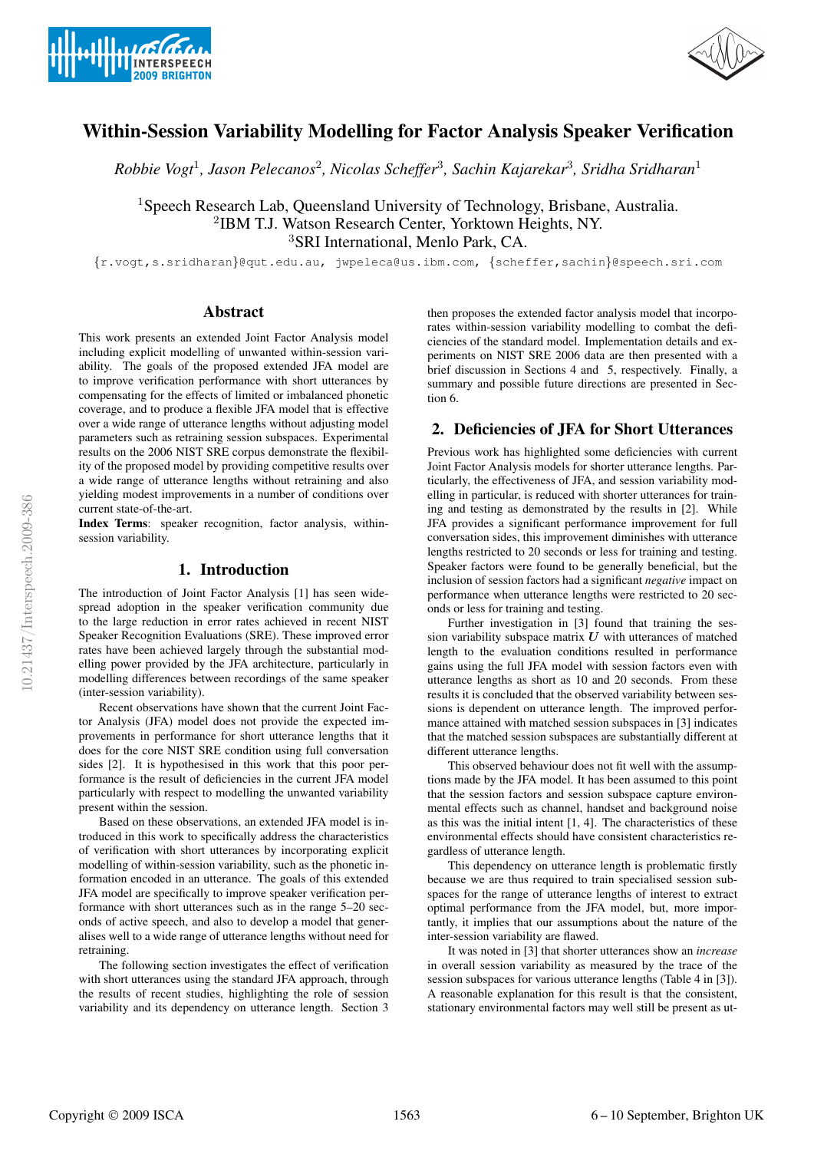



# Within-Session Variability Modelling for Factor Analysis Speaker Verification

*Robbie Vogt*<sup>1</sup>*, Jason Pelecanos*<sup>2</sup>*, Nicolas Scheffer*<sup>3</sup>*, Sachin Kajarekar*<sup>3</sup>*, Sridha Sridharan*<sup>1</sup>

<sup>1</sup>Speech Research Lab, Queensland University of Technology, Brisbane, Australia. <sup>2</sup>IBM T.J. Watson Research Center, Yorktown Heights, NY. <sup>3</sup>SRI International, Menlo Park, CA.

{r.vogt,s.sridharan}@qut.edu.au, jwpeleca@us.ibm.com, {scheffer,sachin}@speech.sri.com

# Abstract

This work presents an extended Joint Factor Analysis model including explicit modelling of unwanted within-session variability. The goals of the proposed extended JFA model are to improve verification performance with short utterances by compensating for the effects of limited or imbalanced phonetic coverage, and to produce a flexible JFA model that is effective over a wide range of utterance lengths without adjusting model parameters such as retraining session subspaces. Experimental results on the 2006 NIST SRE corpus demonstrate the flexibility of the proposed model by providing competitive results over a wide range of utterance lengths without retraining and also yielding modest improvements in a number of conditions over current state-of-the-art.

Index Terms: speaker recognition, factor analysis, withinsession variability.

# 1. Introduction

The introduction of Joint Factor Analysis [1] has seen widespread adoption in the speaker verification community due to the large reduction in error rates achieved in recent NIST Speaker Recognition Evaluations (SRE). These improved error rates have been achieved largely through the substantial modelling power provided by the JFA architecture, particularly in modelling differences between recordings of the same speaker (inter-session variability).

Recent observations have shown that the current Joint Factor Analysis (JFA) model does not provide the expected improvements in performance for short utterance lengths that it does for the core NIST SRE condition using full conversation sides [2]. It is hypothesised in this work that this poor performance is the result of deficiencies in the current JFA model particularly with respect to modelling the unwanted variability present within the session.

Based on these observations, an extended JFA model is introduced in this work to specifically address the characteristics of verification with short utterances by incorporating explicit modelling of within-session variability, such as the phonetic information encoded in an utterance. The goals of this extended JFA model are specifically to improve speaker verification performance with short utterances such as in the range 5–20 seconds of active speech, and also to develop a model that generalises well to a wide range of utterance lengths without need for retraining.

The following section investigates the effect of verification with short utterances using the standard JFA approach, through the results of recent studies, highlighting the role of session variability and its dependency on utterance length. Section 3

then proposes the extended factor analysis model that incorporates within-session variability modelling to combat the deficiencies of the standard model. Implementation details and experiments on NIST SRE 2006 data are then presented with a brief discussion in Sections 4 and 5, respectively. Finally, a summary and possible future directions are presented in Section 6.

# 2. Deficiencies of JFA for Short Utterances

Previous work has highlighted some deficiencies with current Joint Factor Analysis models for shorter utterance lengths. Particularly, the effectiveness of JFA, and session variability modelling in particular, is reduced with shorter utterances for training and testing as demonstrated by the results in [2]. While JFA provides a significant performance improvement for full conversation sides, this improvement diminishes with utterance lengths restricted to 20 seconds or less for training and testing. Speaker factors were found to be generally beneficial, but the inclusion of session factors had a significant *negative* impact on performance when utterance lengths were restricted to 20 seconds or less for training and testing.

Further investigation in [3] found that training the session variability subspace matrix  $U$  with utterances of matched length to the evaluation conditions resulted in performance gains using the full JFA model with session factors even with utterance lengths as short as 10 and 20 seconds. From these results it is concluded that the observed variability between sessions is dependent on utterance length. The improved performance attained with matched session subspaces in [3] indicates that the matched session subspaces are substantially different at different utterance lengths.

This observed behaviour does not fit well with the assumptions made by the JFA model. It has been assumed to this point that the session factors and session subspace capture environmental effects such as channel, handset and background noise as this was the initial intent [1, 4]. The characteristics of these environmental effects should have consistent characteristics regardless of utterance length.

This dependency on utterance length is problematic firstly because we are thus required to train specialised session subspaces for the range of utterance lengths of interest to extract optimal performance from the JFA model, but, more importantly, it implies that our assumptions about the nature of the inter-session variability are flawed.

It was noted in [3] that shorter utterances show an *increase* in overall session variability as measured by the trace of the session subspaces for various utterance lengths (Table 4 in [3]). A reasonable explanation for this result is that the consistent, stationary environmental factors may well still be present as ut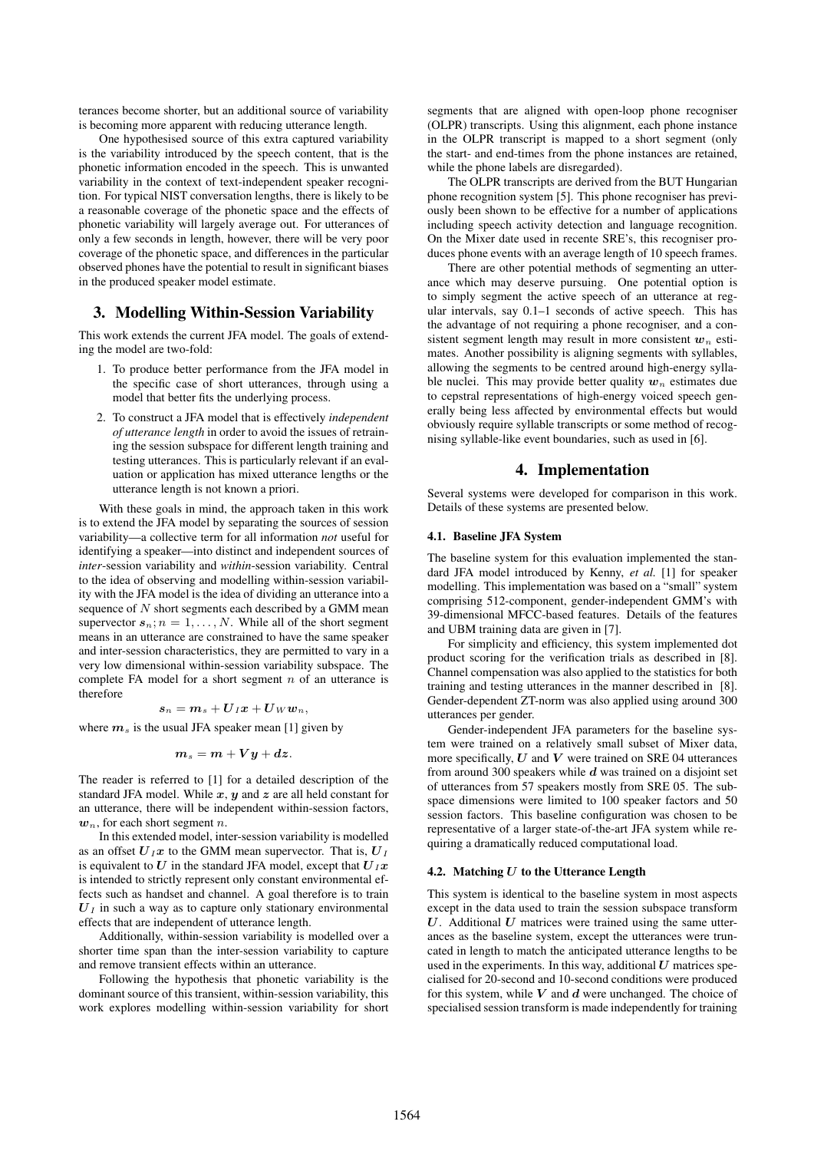terances become shorter, but an additional source of variability is becoming more apparent with reducing utterance length.

One hypothesised source of this extra captured variability is the variability introduced by the speech content, that is the phonetic information encoded in the speech. This is unwanted variability in the context of text-independent speaker recognition. For typical NIST conversation lengths, there is likely to be a reasonable coverage of the phonetic space and the effects of phonetic variability will largely average out. For utterances of only a few seconds in length, however, there will be very poor coverage of the phonetic space, and differences in the particular observed phones have the potential to result in significant biases in the produced speaker model estimate.

## 3. Modelling Within-Session Variability

This work extends the current JFA model. The goals of extending the model are two-fold:

- 1. To produce better performance from the JFA model in the specific case of short utterances, through using a model that better fits the underlying process.
- 2. To construct a JFA model that is effectively *independent of utterance length* in order to avoid the issues of retraining the session subspace for different length training and testing utterances. This is particularly relevant if an evaluation or application has mixed utterance lengths or the utterance length is not known a priori.

With these goals in mind, the approach taken in this work is to extend the JFA model by separating the sources of session variability—a collective term for all information *not* useful for identifying a speaker—into distinct and independent sources of *inter*-session variability and *within*-session variability. Central to the idea of observing and modelling within-session variability with the JFA model is the idea of dividing an utterance into a sequence of  $N$  short segments each described by a GMM mean supervector  $s_n$ ;  $n = 1, ..., N$ . While all of the short segment means in an utterance are constrained to have the same speaker and inter-session characteristics, they are permitted to vary in a very low dimensional within-session variability subspace. The complete FA model for a short segment  $n$  of an utterance is therefore

$$
s_n = m_s + \boldsymbol{U}_I \boldsymbol{x} + \boldsymbol{U}_W \boldsymbol{w}_n,
$$

where  $m<sub>s</sub>$  is the usual JFA speaker mean [1] given by

$$
m_s=m+Vy+dz.
$$

The reader is referred to [1] for a detailed description of the standard JFA model. While  $x$ ,  $y$  and  $z$  are all held constant for an utterance, there will be independent within-session factors,  $w_n$ , for each short segment *n*.

In this extended model, inter-session variability is modelled as an offset  $U_I x$  to the GMM mean supervector. That is,  $U_I$ is equivalent to U in the standard JFA model, except that  $U_I x$ is intended to strictly represent only constant environmental effects such as handset and channel. A goal therefore is to train  $U_I$  in such a way as to capture only stationary environmental effects that are independent of utterance length.

Additionally, within-session variability is modelled over a shorter time span than the inter-session variability to capture and remove transient effects within an utterance.

Following the hypothesis that phonetic variability is the dominant source of this transient, within-session variability, this work explores modelling within-session variability for short segments that are aligned with open-loop phone recogniser (OLPR) transcripts. Using this alignment, each phone instance in the OLPR transcript is mapped to a short segment (only the start- and end-times from the phone instances are retained, while the phone labels are disregarded).

The OLPR transcripts are derived from the BUT Hungarian phone recognition system [5]. This phone recogniser has previously been shown to be effective for a number of applications including speech activity detection and language recognition. On the Mixer date used in recente SRE's, this recogniser produces phone events with an average length of 10 speech frames.

There are other potential methods of segmenting an utterance which may deserve pursuing. One potential option is to simply segment the active speech of an utterance at regular intervals, say 0.1–1 seconds of active speech. This has the advantage of not requiring a phone recogniser, and a consistent segment length may result in more consistent  $w_n$  estimates. Another possibility is aligning segments with syllables, allowing the segments to be centred around high-energy syllable nuclei. This may provide better quality  $w_n$  estimates due to cepstral representations of high-energy voiced speech generally being less affected by environmental effects but would obviously require syllable transcripts or some method of recognising syllable-like event boundaries, such as used in [6].

#### 4. Implementation

Several systems were developed for comparison in this work. Details of these systems are presented below.

#### 4.1. Baseline JFA System

The baseline system for this evaluation implemented the standard JFA model introduced by Kenny, *et al.* [1] for speaker modelling. This implementation was based on a "small" system comprising 512-component, gender-independent GMM's with 39-dimensional MFCC-based features. Details of the features and UBM training data are given in [7].

For simplicity and efficiency, this system implemented dot product scoring for the verification trials as described in [8]. Channel compensation was also applied to the statistics for both training and testing utterances in the manner described in [8]. Gender-dependent ZT-norm was also applied using around 300 utterances per gender.

Gender-independent JFA parameters for the baseline system were trained on a relatively small subset of Mixer data, more specifically,  $U$  and  $V$  were trained on SRE 04 utterances from around 300 speakers while  $d$  was trained on a disjoint set of utterances from 57 speakers mostly from SRE 05. The subspace dimensions were limited to 100 speaker factors and 50 session factors. This baseline configuration was chosen to be representative of a larger state-of-the-art JFA system while requiring a dramatically reduced computational load.

#### 4.2. Matching  $U$  to the Utterance Length

This system is identical to the baseline system in most aspects except in the data used to train the session subspace transform  $U$ . Additional  $U$  matrices were trained using the same utterances as the baseline system, except the utterances were truncated in length to match the anticipated utterance lengths to be used in the experiments. In this way, additional  $U$  matrices specialised for 20-second and 10-second conditions were produced for this system, while  $V$  and  $d$  were unchanged. The choice of specialised session transform is made independently for training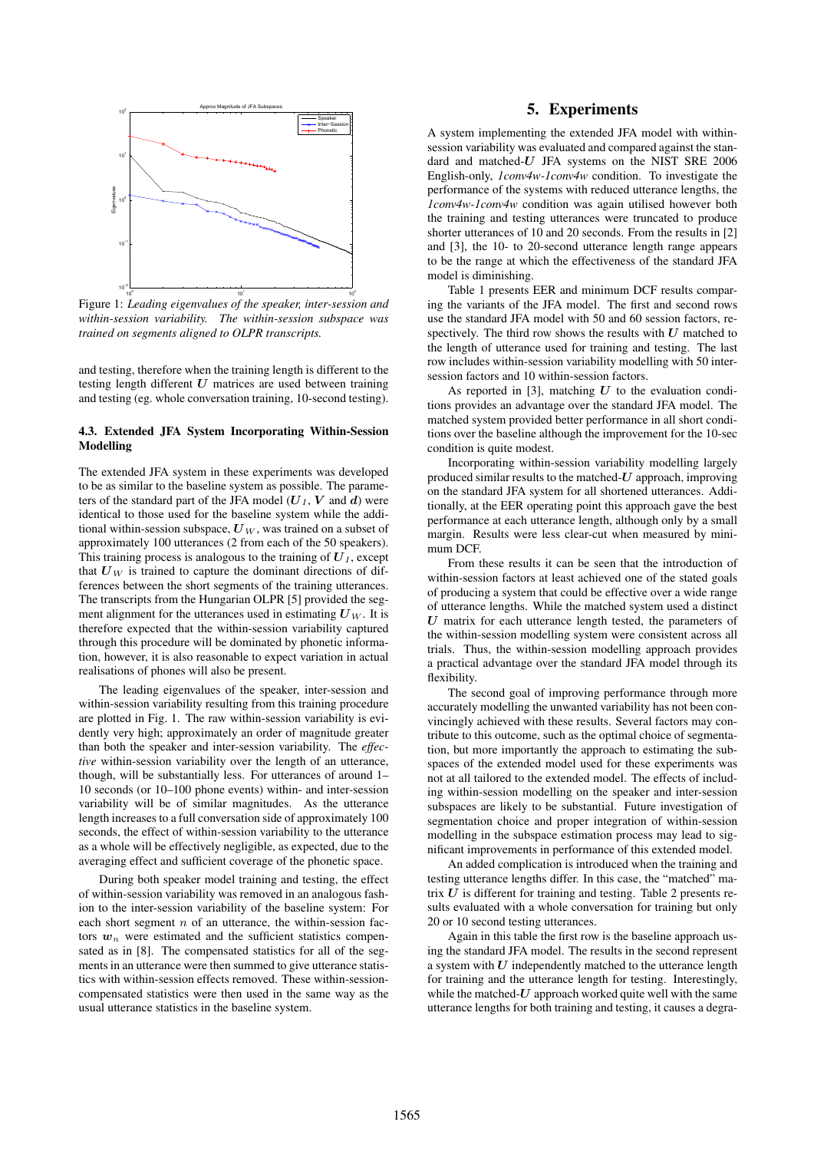

Figure 1: *Leading eigenvalues of the speaker, inter-session and within-session variability. The within-session subspace was trained on segments aligned to OLPR transcripts.*

and testing, therefore when the training length is different to the testing length different  $U$  matrices are used between training and testing (eg. whole conversation training, 10-second testing).

#### 4.3. Extended JFA System Incorporating Within-Session Modelling

The extended JFA system in these experiments was developed to be as similar to the baseline system as possible. The parameters of the standard part of the JFA model  $(U_I, V \text{ and } d)$  were identical to those used for the baseline system while the additional within-session subspace,  $U_W$ , was trained on a subset of approximately 100 utterances (2 from each of the 50 speakers). This training process is analogous to the training of  $U_I$ , except that  $U_W$  is trained to capture the dominant directions of differences between the short segments of the training utterances. The transcripts from the Hungarian OLPR [5] provided the segment alignment for the utterances used in estimating  $U_W$ . It is therefore expected that the within-session variability captured through this procedure will be dominated by phonetic information, however, it is also reasonable to expect variation in actual realisations of phones will also be present.

The leading eigenvalues of the speaker, inter-session and within-session variability resulting from this training procedure are plotted in Fig. 1. The raw within-session variability is evidently very high; approximately an order of magnitude greater than both the speaker and inter-session variability. The *effective* within-session variability over the length of an utterance, though, will be substantially less. For utterances of around 1– 10 seconds (or 10–100 phone events) within- and inter-session variability will be of similar magnitudes. As the utterance length increases to a full conversation side of approximately 100 seconds, the effect of within-session variability to the utterance as a whole will be effectively negligible, as expected, due to the averaging effect and sufficient coverage of the phonetic space.

During both speaker model training and testing, the effect of within-session variability was removed in an analogous fashion to the inter-session variability of the baseline system: For each short segment  $n$  of an utterance, the within-session factors  $w_n$  were estimated and the sufficient statistics compensated as in [8]. The compensated statistics for all of the segments in an utterance were then summed to give utterance statistics with within-session effects removed. These within-sessioncompensated statistics were then used in the same way as the usual utterance statistics in the baseline system.

# 5. Experiments

A system implementing the extended JFA model with withinsession variability was evaluated and compared against the standard and matched- $U$  JFA systems on the NIST SRE 2006 English-only, *1conv4w-1conv4w* condition. To investigate the performance of the systems with reduced utterance lengths, the *1conv4w-1conv4w* condition was again utilised however both the training and testing utterances were truncated to produce shorter utterances of 10 and 20 seconds. From the results in [2] and [3], the 10- to 20-second utterance length range appears to be the range at which the effectiveness of the standard JFA model is diminishing.

Table 1 presents EER and minimum DCF results comparing the variants of the JFA model. The first and second rows use the standard JFA model with 50 and 60 session factors, respectively. The third row shows the results with  $U$  matched to the length of utterance used for training and testing. The last row includes within-session variability modelling with 50 intersession factors and 10 within-session factors.

As reported in [3], matching  $U$  to the evaluation conditions provides an advantage over the standard JFA model. The matched system provided better performance in all short conditions over the baseline although the improvement for the 10-sec condition is quite modest.

Incorporating within-session variability modelling largely produced similar results to the matched- $U$  approach, improving on the standard JFA system for all shortened utterances. Additionally, at the EER operating point this approach gave the best performance at each utterance length, although only by a small margin. Results were less clear-cut when measured by minimum DCF.

From these results it can be seen that the introduction of within-session factors at least achieved one of the stated goals of producing a system that could be effective over a wide range of utterance lengths. While the matched system used a distinct  $U$  matrix for each utterance length tested, the parameters of the within-session modelling system were consistent across all trials. Thus, the within-session modelling approach provides a practical advantage over the standard JFA model through its flexibility.

The second goal of improving performance through more accurately modelling the unwanted variability has not been convincingly achieved with these results. Several factors may contribute to this outcome, such as the optimal choice of segmentation, but more importantly the approach to estimating the subspaces of the extended model used for these experiments was not at all tailored to the extended model. The effects of including within-session modelling on the speaker and inter-session subspaces are likely to be substantial. Future investigation of segmentation choice and proper integration of within-session modelling in the subspace estimation process may lead to significant improvements in performance of this extended model.

An added complication is introduced when the training and testing utterance lengths differ. In this case, the "matched" matrix  $U$  is different for training and testing. Table 2 presents results evaluated with a whole conversation for training but only 20 or 10 second testing utterances.

Again in this table the first row is the baseline approach using the standard JFA model. The results in the second represent a system with  $U$  independently matched to the utterance length for training and the utterance length for testing. Interestingly, while the matched- $U$  approach worked quite well with the same utterance lengths for both training and testing, it causes a degra-